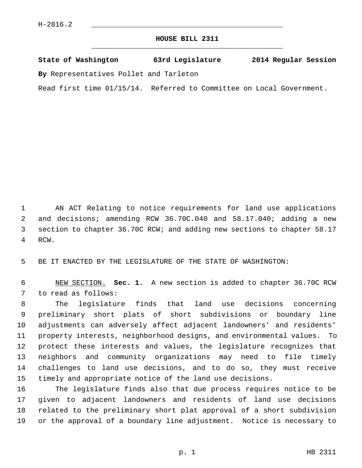## **HOUSE BILL 2311** \_\_\_\_\_\_\_\_\_\_\_\_\_\_\_\_\_\_\_\_\_\_\_\_\_\_\_\_\_\_\_\_\_\_\_\_\_\_\_\_\_\_\_\_\_

## **State of Washington 63rd Legislature 2014 Regular Session**

**By** Representatives Pollet and Tarleton

Read first time 01/15/14. Referred to Committee on Local Government.

 1 AN ACT Relating to notice requirements for land use applications 2 and decisions; amending RCW 36.70C.040 and 58.17.040; adding a new 3 section to chapter 36.70C RCW; and adding new sections to chapter 58.17 4 RCW.

5 BE IT ENACTED BY THE LEGISLATURE OF THE STATE OF WASHINGTON:

 6 NEW SECTION. **Sec. 1.** A new section is added to chapter 36.70C RCW 7 to read as follows:

 8 The legislature finds that land use decisions concerning 9 preliminary short plats of short subdivisions or boundary line 10 adjustments can adversely affect adjacent landowners' and residents' 11 property interests, neighborhood designs, and environmental values. To 12 protect these interests and values, the legislature recognizes that 13 neighbors and community organizations may need to file timely 14 challenges to land use decisions, and to do so, they must receive 15 timely and appropriate notice of the land use decisions.

16 The legislature finds also that due process requires notice to be 17 given to adjacent landowners and residents of land use decisions 18 related to the preliminary short plat approval of a short subdivision 19 or the approval of a boundary line adjustment. Notice is necessary to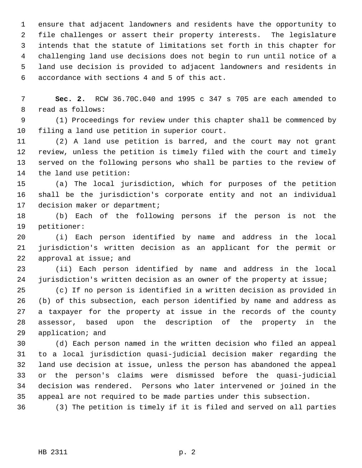1 ensure that adjacent landowners and residents have the opportunity to 2 file challenges or assert their property interests. The legislature 3 intends that the statute of limitations set forth in this chapter for 4 challenging land use decisions does not begin to run until notice of a 5 land use decision is provided to adjacent landowners and residents in 6 accordance with sections 4 and 5 of this act.

 7 **Sec. 2.** RCW 36.70C.040 and 1995 c 347 s 705 are each amended to 8 read as follows:

 9 (1) Proceedings for review under this chapter shall be commenced by 10 filing a land use petition in superior court.

11 (2) A land use petition is barred, and the court may not grant 12 review, unless the petition is timely filed with the court and timely 13 served on the following persons who shall be parties to the review of 14 the land use petition:

15 (a) The local jurisdiction, which for purposes of the petition 16 shall be the jurisdiction's corporate entity and not an individual 17 decision maker or department;

18 (b) Each of the following persons if the person is not the 19 petitioner:

20 (i) Each person identified by name and address in the local 21 jurisdiction's written decision as an applicant for the permit or 22 approval at issue; and

23 (ii) Each person identified by name and address in the local 24 jurisdiction's written decision as an owner of the property at issue;

25 (c) If no person is identified in a written decision as provided in 26 (b) of this subsection, each person identified by name and address as 27 a taxpayer for the property at issue in the records of the county 28 assessor, based upon the description of the property in the 29 application; and

30 (d) Each person named in the written decision who filed an appeal 31 to a local jurisdiction quasi-judicial decision maker regarding the 32 land use decision at issue, unless the person has abandoned the appeal 33 or the person's claims were dismissed before the quasi-judicial 34 decision was rendered. Persons who later intervened or joined in the 35 appeal are not required to be made parties under this subsection.

36 (3) The petition is timely if it is filed and served on all parties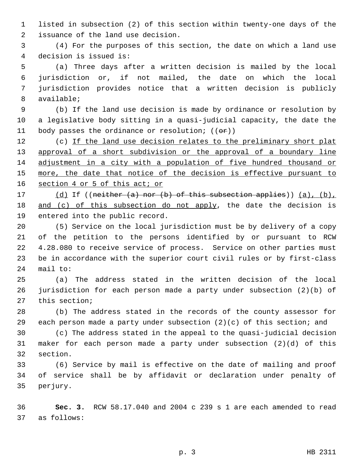1 listed in subsection (2) of this section within twenty-one days of the 2 issuance of the land use decision.

 3 (4) For the purposes of this section, the date on which a land use 4 decision is issued is:

 5 (a) Three days after a written decision is mailed by the local 6 jurisdiction or, if not mailed, the date on which the local 7 jurisdiction provides notice that a written decision is publicly 8 available;

 9 (b) If the land use decision is made by ordinance or resolution by 10 a legislative body sitting in a quasi-judicial capacity, the date the 11 body passes the ordinance or resolution;  $((\theta \cdot \mathbf{r}))$ 

12 (c) If the land use decision relates to the preliminary short plat 13 approval of a short subdivision or the approval of a boundary line 14 adjustment in a city with a population of five hundred thousand or 15 more, the date that notice of the decision is effective pursuant to 16 section 4 or 5 of this act; or

17 (d) If ((neither (a) nor (b) of this subsection applies)) (a), (b), 18 and (c) of this subsection do not apply, the date the decision is 19 entered into the public record.

20 (5) Service on the local jurisdiction must be by delivery of a copy 21 of the petition to the persons identified by or pursuant to RCW 22 4.28.080 to receive service of process. Service on other parties must 23 be in accordance with the superior court civil rules or by first-class 24 mail to:

25 (a) The address stated in the written decision of the local 26 jurisdiction for each person made a party under subsection (2)(b) of 27 this section;

28 (b) The address stated in the records of the county assessor for 29 each person made a party under subsection (2)(c) of this section; and

30 (c) The address stated in the appeal to the quasi-judicial decision 31 maker for each person made a party under subsection (2)(d) of this 32 section.

33 (6) Service by mail is effective on the date of mailing and proof 34 of service shall be by affidavit or declaration under penalty of 35 perjury.

36 **Sec. 3.** RCW 58.17.040 and 2004 c 239 s 1 are each amended to read 37 as follows: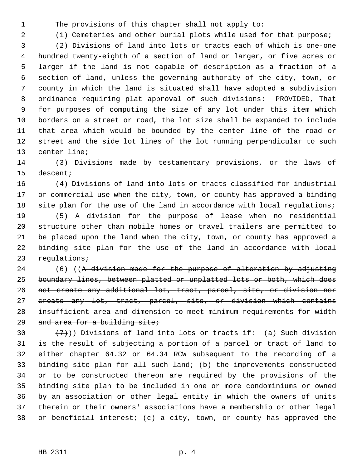1 The provisions of this chapter shall not apply to:

2 (1) Cemeteries and other burial plots while used for that purpose;

 3 (2) Divisions of land into lots or tracts each of which is one-one 4 hundred twenty-eighth of a section of land or larger, or five acres or 5 larger if the land is not capable of description as a fraction of a 6 section of land, unless the governing authority of the city, town, or 7 county in which the land is situated shall have adopted a subdivision 8 ordinance requiring plat approval of such divisions: PROVIDED, That 9 for purposes of computing the size of any lot under this item which 10 borders on a street or road, the lot size shall be expanded to include 11 that area which would be bounded by the center line of the road or 12 street and the side lot lines of the lot running perpendicular to such 13 center line;

14 (3) Divisions made by testamentary provisions, or the laws of 15 descent;

16 (4) Divisions of land into lots or tracts classified for industrial 17 or commercial use when the city, town, or county has approved a binding 18 site plan for the use of the land in accordance with local regulations;

19 (5) A division for the purpose of lease when no residential 20 structure other than mobile homes or travel trailers are permitted to 21 be placed upon the land when the city, town, or county has approved a 22 binding site plan for the use of the land in accordance with local 23 regulations;

24 (6) ((A division made for the purpose of alteration by adjusting boundary lines, between platted or unplatted lots or both, which does not create any additional lot, tract, parcel, site, or division nor create any lot, tract, parcel, site, or division which contains insufficient area and dimension to meet minimum requirements for width 29 and area for a building site;

30  $(7)$ )) Divisions of land into lots or tracts if: (a) Such division 31 is the result of subjecting a portion of a parcel or tract of land to 32 either chapter 64.32 or 64.34 RCW subsequent to the recording of a 33 binding site plan for all such land; (b) the improvements constructed 34 or to be constructed thereon are required by the provisions of the 35 binding site plan to be included in one or more condominiums or owned 36 by an association or other legal entity in which the owners of units 37 therein or their owners' associations have a membership or other legal 38 or beneficial interest; (c) a city, town, or county has approved the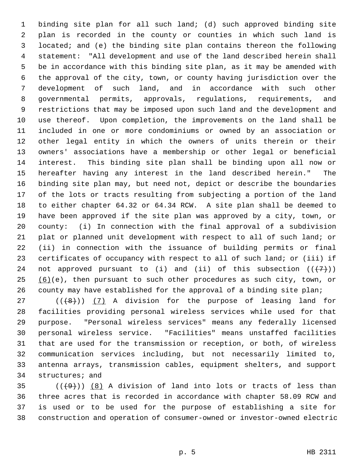1 binding site plan for all such land; (d) such approved binding site 2 plan is recorded in the county or counties in which such land is 3 located; and (e) the binding site plan contains thereon the following 4 statement: "All development and use of the land described herein shall 5 be in accordance with this binding site plan, as it may be amended with 6 the approval of the city, town, or county having jurisdiction over the 7 development of such land, and in accordance with such other 8 governmental permits, approvals, regulations, requirements, and 9 restrictions that may be imposed upon such land and the development and 10 use thereof. Upon completion, the improvements on the land shall be 11 included in one or more condominiums or owned by an association or 12 other legal entity in which the owners of units therein or their 13 owners' associations have a membership or other legal or beneficial 14 interest. This binding site plan shall be binding upon all now or 15 hereafter having any interest in the land described herein." The 16 binding site plan may, but need not, depict or describe the boundaries 17 of the lots or tracts resulting from subjecting a portion of the land 18 to either chapter 64.32 or 64.34 RCW. A site plan shall be deemed to 19 have been approved if the site plan was approved by a city, town, or 20 county: (i) In connection with the final approval of a subdivision 21 plat or planned unit development with respect to all of such land; or 22 (ii) in connection with the issuance of building permits or final 23 certificates of occupancy with respect to all of such land; or (iii) if 24 not approved pursuant to (i) and (ii) of this subsection  $((+7))$  $25$  (6)(e), then pursuant to such other procedures as such city, town, or 26 county may have established for the approval of a binding site plan;

27  $((+8))$  (7) A division for the purpose of leasing land for 28 facilities providing personal wireless services while used for that 29 purpose. "Personal wireless services" means any federally licensed 30 personal wireless service. "Facilities" means unstaffed facilities 31 that are used for the transmission or reception, or both, of wireless 32 communication services including, but not necessarily limited to, 33 antenna arrays, transmission cables, equipment shelters, and support 34 structures; and

 $35$  (( $(9)$ )) (8) A division of land into lots or tracts of less than 36 three acres that is recorded in accordance with chapter 58.09 RCW and 37 is used or to be used for the purpose of establishing a site for 38 construction and operation of consumer-owned or investor-owned electric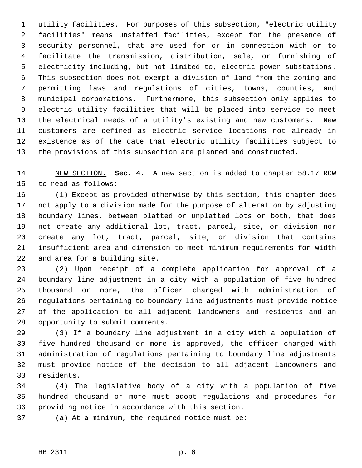1 utility facilities. For purposes of this subsection, "electric utility 2 facilities" means unstaffed facilities, except for the presence of 3 security personnel, that are used for or in connection with or to 4 facilitate the transmission, distribution, sale, or furnishing of 5 electricity including, but not limited to, electric power substations. 6 This subsection does not exempt a division of land from the zoning and 7 permitting laws and regulations of cities, towns, counties, and 8 municipal corporations. Furthermore, this subsection only applies to 9 electric utility facilities that will be placed into service to meet 10 the electrical needs of a utility's existing and new customers. New 11 customers are defined as electric service locations not already in 12 existence as of the date that electric utility facilities subject to 13 the provisions of this subsection are planned and constructed.

14 NEW SECTION. **Sec. 4.** A new section is added to chapter 58.17 RCW 15 to read as follows:

16 (1) Except as provided otherwise by this section, this chapter does 17 not apply to a division made for the purpose of alteration by adjusting 18 boundary lines, between platted or unplatted lots or both, that does 19 not create any additional lot, tract, parcel, site, or division nor 20 create any lot, tract, parcel, site, or division that contains 21 insufficient area and dimension to meet minimum requirements for width 22 and area for a building site.

23 (2) Upon receipt of a complete application for approval of a 24 boundary line adjustment in a city with a population of five hundred 25 thousand or more, the officer charged with administration of 26 regulations pertaining to boundary line adjustments must provide notice 27 of the application to all adjacent landowners and residents and an 28 opportunity to submit comments.

29 (3) If a boundary line adjustment in a city with a population of 30 five hundred thousand or more is approved, the officer charged with 31 administration of regulations pertaining to boundary line adjustments 32 must provide notice of the decision to all adjacent landowners and 33 residents.

34 (4) The legislative body of a city with a population of five 35 hundred thousand or more must adopt regulations and procedures for 36 providing notice in accordance with this section.

37 (a) At a minimum, the required notice must be: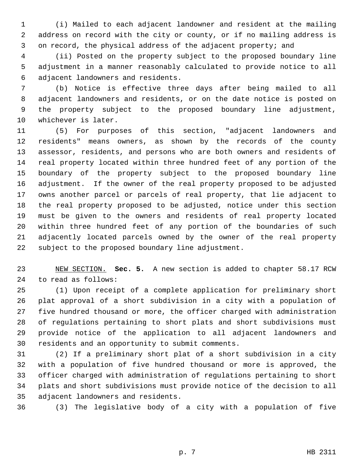1 (i) Mailed to each adjacent landowner and resident at the mailing 2 address on record with the city or county, or if no mailing address is 3 on record, the physical address of the adjacent property; and

 4 (ii) Posted on the property subject to the proposed boundary line 5 adjustment in a manner reasonably calculated to provide notice to all 6 adjacent landowners and residents.

 7 (b) Notice is effective three days after being mailed to all 8 adjacent landowners and residents, or on the date notice is posted on 9 the property subject to the proposed boundary line adjustment, 10 whichever is later.

11 (5) For purposes of this section, "adjacent landowners and 12 residents" means owners, as shown by the records of the county 13 assessor, residents, and persons who are both owners and residents of 14 real property located within three hundred feet of any portion of the 15 boundary of the property subject to the proposed boundary line 16 adjustment. If the owner of the real property proposed to be adjusted 17 owns another parcel or parcels of real property, that lie adjacent to 18 the real property proposed to be adjusted, notice under this section 19 must be given to the owners and residents of real property located 20 within three hundred feet of any portion of the boundaries of such 21 adjacently located parcels owned by the owner of the real property 22 subject to the proposed boundary line adjustment.

23 NEW SECTION. **Sec. 5.** A new section is added to chapter 58.17 RCW 24 to read as follows:

25 (1) Upon receipt of a complete application for preliminary short 26 plat approval of a short subdivision in a city with a population of 27 five hundred thousand or more, the officer charged with administration 28 of regulations pertaining to short plats and short subdivisions must 29 provide notice of the application to all adjacent landowners and 30 residents and an opportunity to submit comments.

31 (2) If a preliminary short plat of a short subdivision in a city 32 with a population of five hundred thousand or more is approved, the 33 officer charged with administration of regulations pertaining to short 34 plats and short subdivisions must provide notice of the decision to all 35 adjacent landowners and residents.

36 (3) The legislative body of a city with a population of five